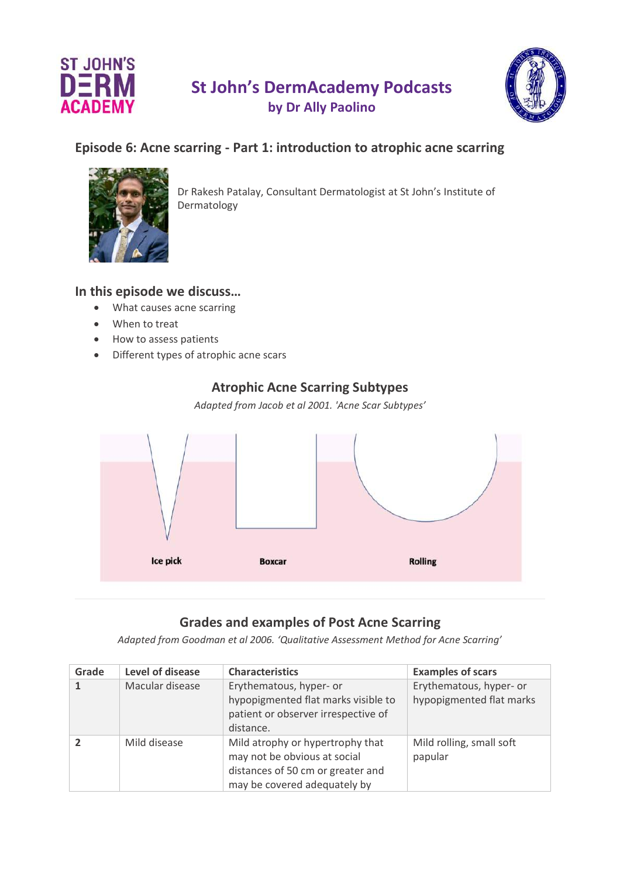



# **Episode 6: Acne scarring - Part 1: introduction to atrophic acne scarring**



Dr Rakesh Patalay, Consultant Dermatologist at St John's Institute of Dermatology

## **In this episode we discuss…**

- What causes acne scarring
- When to treat
- How to assess patients
- Different types of atrophic acne scars

# **Atrophic Acne Scarring Subtypes**

*Adapted from Jacob et al 2001. 'Acne Scar Subtypes'*



## **Grades and examples of Post Acne Scarring**

*Adapted from Goodman et al 2006. 'Qualitative Assessment Method for Acne Scarring'*

| Grade | Level of disease | <b>Characteristics</b>                                                                                                                | <b>Examples of scars</b>                            |
|-------|------------------|---------------------------------------------------------------------------------------------------------------------------------------|-----------------------------------------------------|
|       | Macular disease  | Erythematous, hyper- or<br>hypopigmented flat marks visible to<br>patient or observer irrespective of<br>distance.                    | Erythematous, hyper- or<br>hypopigmented flat marks |
|       | Mild disease     | Mild atrophy or hypertrophy that<br>may not be obvious at social<br>distances of 50 cm or greater and<br>may be covered adequately by | Mild rolling, small soft<br>papular                 |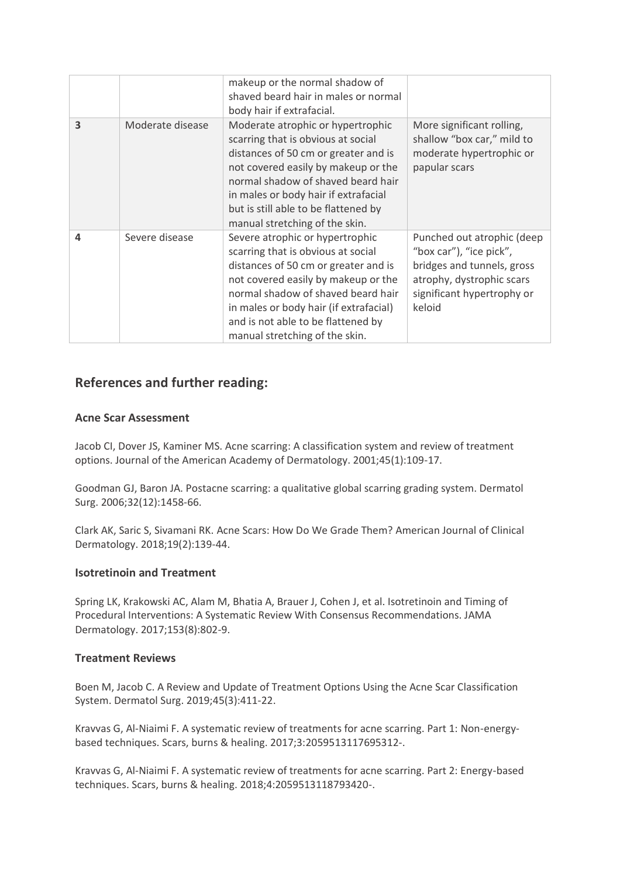|   |                  | makeup or the normal shadow of<br>shaved beard hair in males or normal<br>body hair if extrafacial.                                                                                                                                                                                                            |                                                                                                                                                          |
|---|------------------|----------------------------------------------------------------------------------------------------------------------------------------------------------------------------------------------------------------------------------------------------------------------------------------------------------------|----------------------------------------------------------------------------------------------------------------------------------------------------------|
| 3 | Moderate disease | Moderate atrophic or hypertrophic<br>scarring that is obvious at social<br>distances of 50 cm or greater and is<br>not covered easily by makeup or the<br>normal shadow of shaved beard hair<br>in males or body hair if extrafacial<br>but is still able to be flattened by<br>manual stretching of the skin. | More significant rolling,<br>shallow "box car," mild to<br>moderate hypertrophic or<br>papular scars                                                     |
| 4 | Severe disease   | Severe atrophic or hypertrophic<br>scarring that is obvious at social<br>distances of 50 cm or greater and is<br>not covered easily by makeup or the<br>normal shadow of shaved beard hair<br>in males or body hair (if extrafacial)<br>and is not able to be flattened by<br>manual stretching of the skin.   | Punched out atrophic (deep<br>"box car"), "ice pick",<br>bridges and tunnels, gross<br>atrophy, dystrophic scars<br>significant hypertrophy or<br>keloid |

### **References and further reading:**

### **Acne Scar Assessment**

Jacob CI, Dover JS, Kaminer MS. Acne scarring: A classification system and review of treatment options. Journal of the American Academy of Dermatology. 2001;45(1):109-17.

Goodman GJ, Baron JA. Postacne scarring: a qualitative global scarring grading system. Dermatol Surg. 2006;32(12):1458-66.

Clark AK, Saric S, Sivamani RK. Acne Scars: How Do We Grade Them? American Journal of Clinical Dermatology. 2018;19(2):139-44.

### **Isotretinoin and Treatment**

Spring LK, Krakowski AC, Alam M, Bhatia A, Brauer J, Cohen J, et al. Isotretinoin and Timing of Procedural Interventions: A Systematic Review With Consensus Recommendations. JAMA Dermatology. 2017;153(8):802-9.

### **Treatment Reviews**

Boen M, Jacob C. A Review and Update of Treatment Options Using the Acne Scar Classification System. Dermatol Surg. 2019;45(3):411-22.

Kravvas G, Al-Niaimi F. A systematic review of treatments for acne scarring. Part 1: Non-energybased techniques. Scars, burns & healing. 2017;3:2059513117695312-.

Kravvas G, Al-Niaimi F. A systematic review of treatments for acne scarring. Part 2: Energy-based techniques. Scars, burns & healing. 2018;4:2059513118793420-.